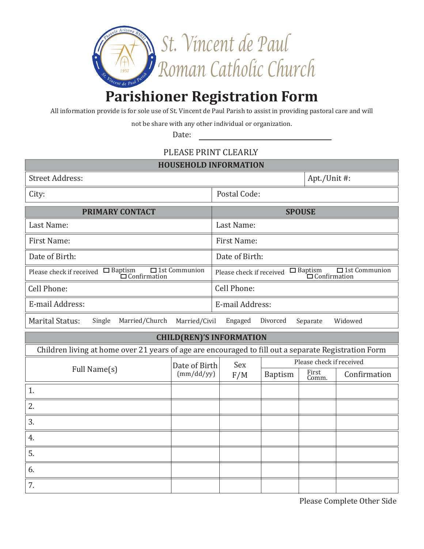

## **Parishioner Registration Form**

All information provide is for sole use of St. Vincent de Paul Parish to assist in providing pastoral care and will

not be share with any other individual or organization.

Date:

## PLEASE PRINT CLEARLY

| <b>Street Address:</b>                                                                                            | Apt./Unit #:                |                                                                                                                                                          |                          |                |              |
|-------------------------------------------------------------------------------------------------------------------|-----------------------------|----------------------------------------------------------------------------------------------------------------------------------------------------------|--------------------------|----------------|--------------|
| City:                                                                                                             |                             | Postal Code:                                                                                                                                             |                          |                |              |
| <b>PRIMARY CONTACT</b>                                                                                            |                             | <b>SPOUSE</b>                                                                                                                                            |                          |                |              |
| Last Name:                                                                                                        |                             | Last Name:                                                                                                                                               |                          |                |              |
| First Name:                                                                                                       |                             | First Name:                                                                                                                                              |                          |                |              |
| Date of Birth:                                                                                                    |                             | Date of Birth:                                                                                                                                           |                          |                |              |
| $\Box$ 1st Communion<br>Please check if received $\Box$ Baptism $\Box$ 1st $\Box$ Confirmation                    |                             | $\Box$ 1st Communion<br>$\begin{array}{c}\n\Box \text{ Baptism} & \Box \text{1st} \\ \Box \text{Configuration}\n\end{array}$<br>Please check if received |                          |                |              |
| Cell Phone:                                                                                                       |                             | Cell Phone:                                                                                                                                              |                          |                |              |
| E-mail Address:                                                                                                   |                             | E-mail Address:                                                                                                                                          |                          |                |              |
| <b>Marital Status:</b><br>Married/Church<br>Single<br>Married/Civil<br>Widowed<br>Engaged<br>Divorced<br>Separate |                             |                                                                                                                                                          |                          |                |              |
| <b>CHILD(REN)'S INFORMATION</b>                                                                                   |                             |                                                                                                                                                          |                          |                |              |
| Children living at home over 21 years of age are encouraged to fill out a separate Registration Form              |                             |                                                                                                                                                          |                          |                |              |
| Full Name(s)                                                                                                      | Date of Birth<br>(mm/dd/yy) | Sex                                                                                                                                                      | Please check if received |                |              |
|                                                                                                                   |                             | F/M                                                                                                                                                      | <b>Baptism</b>           | First<br>Comm. | Confirmation |
| 1.                                                                                                                |                             |                                                                                                                                                          |                          |                |              |
| 2.                                                                                                                |                             |                                                                                                                                                          |                          |                |              |
| 3.                                                                                                                |                             |                                                                                                                                                          |                          |                |              |
| 4.                                                                                                                |                             |                                                                                                                                                          |                          |                |              |
| 5.                                                                                                                |                             |                                                                                                                                                          |                          |                |              |
| 6.                                                                                                                |                             |                                                                                                                                                          |                          |                |              |
| 7.                                                                                                                |                             |                                                                                                                                                          |                          |                |              |

Please Complete Other Side